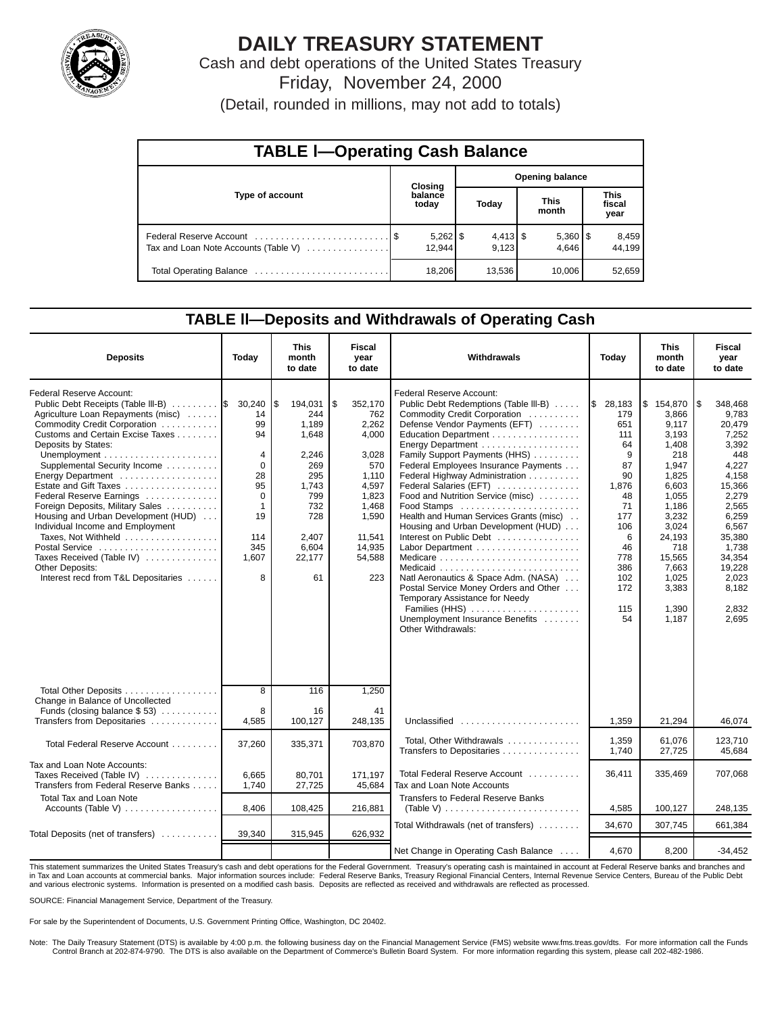

# **DAILY TREASURY STATEMENT**

Cash and debt operations of the United States Treasury Friday, November 24, 2000

(Detail, rounded in millions, may not add to totals)

| <b>TABLE I-Operating Cash Balance</b> |  |                      |  |                        |  |                       |  |                               |  |
|---------------------------------------|--|----------------------|--|------------------------|--|-----------------------|--|-------------------------------|--|
|                                       |  | Closing              |  | <b>Opening balance</b> |  |                       |  |                               |  |
| Type of account                       |  | balance<br>today     |  | Today                  |  | <b>This</b><br>month  |  | <b>This</b><br>fiscal<br>year |  |
| Tax and Loan Note Accounts (Table V)  |  | $5,262$ \$<br>12.944 |  | $4,413$ \$<br>9.123    |  | $5,360$   \$<br>4.646 |  | 8,459<br>44.199               |  |
|                                       |  | 18,206               |  | 13,536                 |  | 10.006                |  | 52,659                        |  |

## **TABLE ll—Deposits and Withdrawals of Operating Cash**

| <b>Deposits</b>                                                                                                                                                                                                                                                                                                                                                                                                                                                                                                                                                 | Today                                                                                                                     | <b>This</b><br>month<br>to date                                                                                                | <b>Fiscal</b><br>vear<br>to date                                                                                                         | Withdrawals                                                                                                                                                                                                                                                                                                                                                                                                                                                                                                                                                                                                                                                          | Today                                                                                                                                       | <b>This</b><br>month<br>to date                                                                                                                                                             | <b>Fiscal</b><br>vear<br>to date                                                                                                                                                                      |
|-----------------------------------------------------------------------------------------------------------------------------------------------------------------------------------------------------------------------------------------------------------------------------------------------------------------------------------------------------------------------------------------------------------------------------------------------------------------------------------------------------------------------------------------------------------------|---------------------------------------------------------------------------------------------------------------------------|--------------------------------------------------------------------------------------------------------------------------------|------------------------------------------------------------------------------------------------------------------------------------------|----------------------------------------------------------------------------------------------------------------------------------------------------------------------------------------------------------------------------------------------------------------------------------------------------------------------------------------------------------------------------------------------------------------------------------------------------------------------------------------------------------------------------------------------------------------------------------------------------------------------------------------------------------------------|---------------------------------------------------------------------------------------------------------------------------------------------|---------------------------------------------------------------------------------------------------------------------------------------------------------------------------------------------|-------------------------------------------------------------------------------------------------------------------------------------------------------------------------------------------------------|
| Federal Reserve Account:<br>Public Debt Receipts (Table III-B)<br>Agriculture Loan Repayments (misc)<br>Commodity Credit Corporation<br>Customs and Certain Excise Taxes<br>Deposits by States:<br>Supplemental Security Income<br>Energy Department<br>Estate and Gift Taxes<br>Federal Reserve Earnings<br>Foreign Deposits, Military Sales<br>Housing and Urban Development (HUD)<br>Individual Income and Employment<br>Taxes, Not Withheld<br>Postal Service<br>Taxes Received (Table IV)<br><b>Other Deposits:</b><br>Interest recd from T&L Depositaries | 30,240<br>14<br>99<br>94<br>4<br>$\mathbf 0$<br>28<br>95<br>$\mathbf 0$<br>$\mathbf{1}$<br>19<br>114<br>345<br>1,607<br>8 | l\$<br>194,031<br>244<br>1,189<br>1,648<br>2,246<br>269<br>295<br>1,743<br>799<br>732<br>728<br>2,407<br>6,604<br>22,177<br>61 | \$<br>352,170<br>762<br>2,262<br>4,000<br>3,028<br>570<br>1,110<br>4,597<br>1,823<br>1,468<br>1,590<br>11,541<br>14,935<br>54,588<br>223 | Federal Reserve Account:<br>Public Debt Redemptions (Table III-B)<br>Commodity Credit Corporation<br>Defense Vendor Payments (EFT)<br>Education Department<br>Energy Department<br>Family Support Payments (HHS)<br>Federal Employees Insurance Payments<br>Federal Highway Administration<br>Federal Salaries (EFT)<br>Food and Nutrition Service (misc)<br>Health and Human Services Grants (misc)<br>Housing and Urban Development (HUD)<br>Interest on Public Debt<br>Natl Aeronautics & Space Adm. (NASA)<br>Postal Service Money Orders and Other<br>Temporary Assistance for Needy<br>Families (HHS)<br>Unemployment Insurance Benefits<br>Other Withdrawals: | \$28,183<br>179<br>651<br>111<br>64<br>9<br>87<br>90<br>1,876<br>48<br>71<br>177<br>106<br>6<br>46<br>778<br>386<br>102<br>172<br>115<br>54 | \$154,870<br>3,866<br>9,117<br>3,193<br>1,408<br>218<br>1,947<br>1,825<br>6,603<br>1,055<br>1,186<br>3,232<br>3,024<br>24,193<br>718<br>15.565<br>7.663<br>1.025<br>3,383<br>1.390<br>1,187 | ۱\$<br>348,468<br>9,783<br>20,479<br>7,252<br>3,392<br>448<br>4,227<br>4,158<br>15,366<br>2,279<br>2,565<br>6,259<br>6,567<br>35,380<br>1,738<br>34,354<br>19,228<br>2.023<br>8.182<br>2,832<br>2.695 |
| Total Other Deposits<br>Change in Balance of Uncollected<br>Funds (closing balance $$53$ )<br>Transfers from Depositaries                                                                                                                                                                                                                                                                                                                                                                                                                                       | 8<br>8<br>4,585                                                                                                           | 116<br>16<br>100,127                                                                                                           | 1,250<br>41<br>248,135                                                                                                                   | Unclassified                                                                                                                                                                                                                                                                                                                                                                                                                                                                                                                                                                                                                                                         | 1,359                                                                                                                                       | 21,294                                                                                                                                                                                      | 46,074                                                                                                                                                                                                |
| Total Federal Reserve Account                                                                                                                                                                                                                                                                                                                                                                                                                                                                                                                                   | 37,260                                                                                                                    | 335,371                                                                                                                        | 703,870                                                                                                                                  | Total, Other Withdrawals                                                                                                                                                                                                                                                                                                                                                                                                                                                                                                                                                                                                                                             | 1,359                                                                                                                                       | 61.076                                                                                                                                                                                      | 123.710                                                                                                                                                                                               |
| Tax and Loan Note Accounts:<br>Taxes Received (Table IV)<br>Transfers from Federal Reserve Banks                                                                                                                                                                                                                                                                                                                                                                                                                                                                | 6.665<br>1.740                                                                                                            | 80.701<br>27,725                                                                                                               | 171.197<br>45.684                                                                                                                        | Transfers to Depositaries<br>Total Federal Reserve Account<br>Tax and Loan Note Accounts                                                                                                                                                                                                                                                                                                                                                                                                                                                                                                                                                                             | 1,740<br>36,411                                                                                                                             | 27,725<br>335,469                                                                                                                                                                           | 45,684<br>707,068                                                                                                                                                                                     |
| <b>Total Tax and Loan Note</b><br>Accounts (Table V)                                                                                                                                                                                                                                                                                                                                                                                                                                                                                                            | 8,406                                                                                                                     | 108,425                                                                                                                        | 216,881                                                                                                                                  | Transfers to Federal Reserve Banks<br>(Table V) $\ldots \ldots \ldots \ldots \ldots \ldots \ldots \ldots \ldots$                                                                                                                                                                                                                                                                                                                                                                                                                                                                                                                                                     | 4,585                                                                                                                                       | 100,127                                                                                                                                                                                     | 248,135                                                                                                                                                                                               |
| Total Deposits (net of transfers)                                                                                                                                                                                                                                                                                                                                                                                                                                                                                                                               | 39,340                                                                                                                    | 315,945                                                                                                                        | 626,932                                                                                                                                  | Total Withdrawals (net of transfers)                                                                                                                                                                                                                                                                                                                                                                                                                                                                                                                                                                                                                                 | 34,670                                                                                                                                      | 307,745                                                                                                                                                                                     | 661,384                                                                                                                                                                                               |
|                                                                                                                                                                                                                                                                                                                                                                                                                                                                                                                                                                 |                                                                                                                           |                                                                                                                                |                                                                                                                                          | Net Change in Operating Cash Balance                                                                                                                                                                                                                                                                                                                                                                                                                                                                                                                                                                                                                                 | 4,670                                                                                                                                       | 8,200                                                                                                                                                                                       | $-34,452$                                                                                                                                                                                             |

This statement summarizes the United States Treasury's cash and debt operations for the Federal Government. Treasury's operating cash is maintained in account at Federal Reserve banks and branches and<br>in Tax and Loan accou and various electronic systems. Information is presented on a modified cash basis. Deposits are reflected as received and withdrawals are reflected as processed.

SOURCE: Financial Management Service, Department of the Treasury.

For sale by the Superintendent of Documents, U.S. Government Printing Office, Washington, DC 20402.

Note: The Daily Treasury Statement (DTS) is available by 4:00 p.m. the following business day on the Financial Management Service (FMS) website www.fms.treas.gov/dts. For more information call the Funds Control Branch at 202-874-9790. The DTS is also available on the Department of Commerce's Bulletin Board System. For more information regarding this system, please call 202-482-1986.